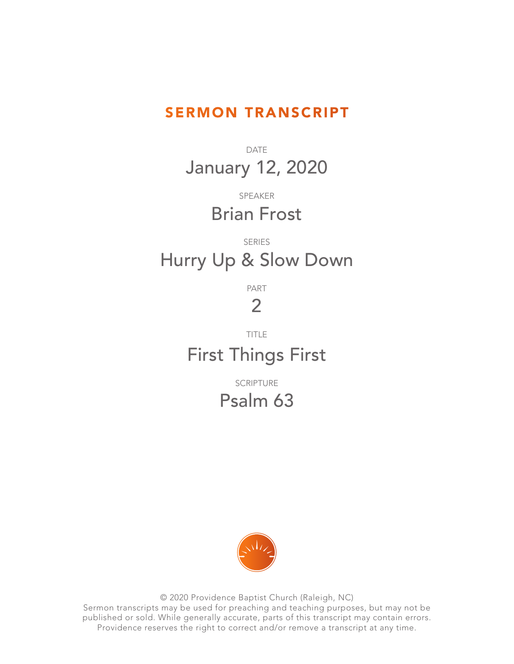## SERMON TRANSCRIPT

DATE January 12, 2020

> SPEAKER Brian Frost

## SERIES Hurry Up & Slow Down

PART

## 2

TITLE

## First Things First

SCRIPTURE Psalm 63



© 2020 Providence Baptist Church (Raleigh, NC) Sermon transcripts may be used for preaching and teaching purposes, but may not be published or sold. While generally accurate, parts of this transcript may contain errors. Providence reserves the right to correct and/or remove a transcript at any time.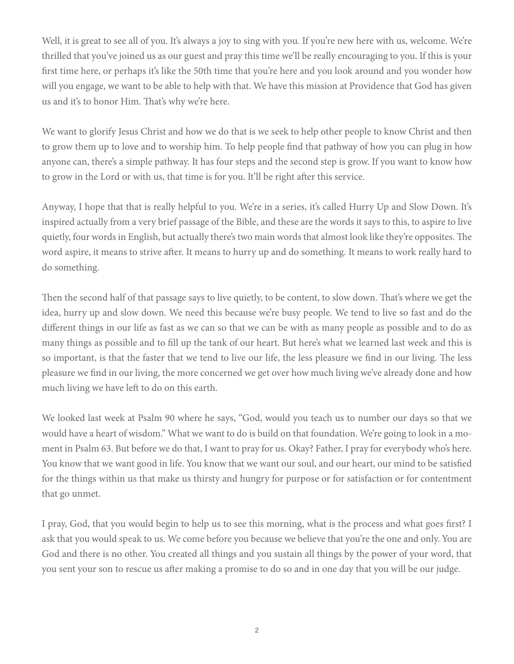Well, it is great to see all of you. It's always a joy to sing with you. If you're new here with us, welcome. We're thrilled that you've joined us as our guest and pray this time we'll be really encouraging to you. If this is your first time here, or perhaps it's like the 50th time that you're here and you look around and you wonder how will you engage, we want to be able to help with that. We have this mission at Providence that God has given us and it's to honor Him. That's why we're here.

We want to glorify Jesus Christ and how we do that is we seek to help other people to know Christ and then to grow them up to love and to worship him. To help people find that pathway of how you can plug in how anyone can, there's a simple pathway. It has four steps and the second step is grow. If you want to know how to grow in the Lord or with us, that time is for you. It'll be right after this service.

Anyway, I hope that that is really helpful to you. We're in a series, it's called Hurry Up and Slow Down. It's inspired actually from a very brief passage of the Bible, and these are the words it says to this, to aspire to live quietly, four words in English, but actually there's two main words that almost look like they're opposites. The word aspire, it means to strive after. It means to hurry up and do something. It means to work really hard to do something.

Then the second half of that passage says to live quietly, to be content, to slow down. That's where we get the idea, hurry up and slow down. We need this because we're busy people. We tend to live so fast and do the different things in our life as fast as we can so that we can be with as many people as possible and to do as many things as possible and to fill up the tank of our heart. But here's what we learned last week and this is so important, is that the faster that we tend to live our life, the less pleasure we find in our living. The less pleasure we find in our living, the more concerned we get over how much living we've already done and how much living we have left to do on this earth.

We looked last week at Psalm 90 where he says, "God, would you teach us to number our days so that we would have a heart of wisdom." What we want to do is build on that foundation. We're going to look in a moment in Psalm 63. But before we do that, I want to pray for us. Okay? Father, I pray for everybody who's here. You know that we want good in life. You know that we want our soul, and our heart, our mind to be satisfied for the things within us that make us thirsty and hungry for purpose or for satisfaction or for contentment that go unmet.

I pray, God, that you would begin to help us to see this morning, what is the process and what goes first? I ask that you would speak to us. We come before you because we believe that you're the one and only. You are God and there is no other. You created all things and you sustain all things by the power of your word, that you sent your son to rescue us after making a promise to do so and in one day that you will be our judge.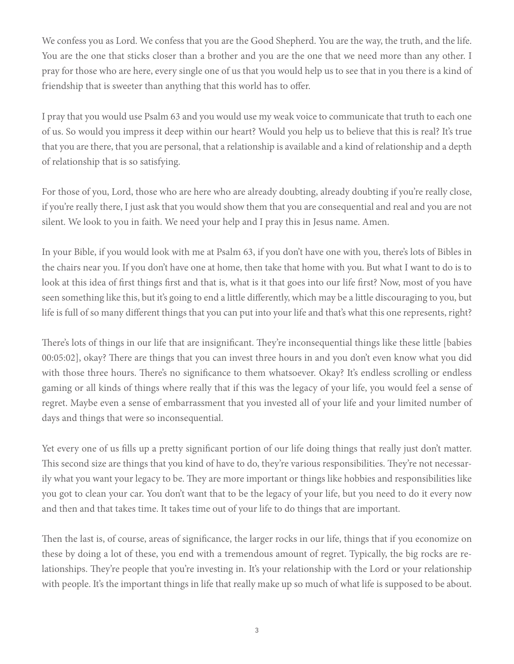We confess you as Lord. We confess that you are the Good Shepherd. You are the way, the truth, and the life. You are the one that sticks closer than a brother and you are the one that we need more than any other. I pray for those who are here, every single one of us that you would help us to see that in you there is a kind of friendship that is sweeter than anything that this world has to offer.

I pray that you would use Psalm 63 and you would use my weak voice to communicate that truth to each one of us. So would you impress it deep within our heart? Would you help us to believe that this is real? It's true that you are there, that you are personal, that a relationship is available and a kind of relationship and a depth of relationship that is so satisfying.

For those of you, Lord, those who are here who are already doubting, already doubting if you're really close, if you're really there, I just ask that you would show them that you are consequential and real and you are not silent. We look to you in faith. We need your help and I pray this in Jesus name. Amen.

In your Bible, if you would look with me at Psalm 63, if you don't have one with you, there's lots of Bibles in the chairs near you. If you don't have one at home, then take that home with you. But what I want to do is to look at this idea of first things first and that is, what is it that goes into our life first? Now, most of you have seen something like this, but it's going to end a little differently, which may be a little discouraging to you, but life is full of so many different things that you can put into your life and that's what this one represents, right?

There's lots of things in our life that are insignificant. They're inconsequential things like these little [babies 00:05:02], okay? There are things that you can invest three hours in and you don't even know what you did with those three hours. There's no significance to them whatsoever. Okay? It's endless scrolling or endless gaming or all kinds of things where really that if this was the legacy of your life, you would feel a sense of regret. Maybe even a sense of embarrassment that you invested all of your life and your limited number of days and things that were so inconsequential.

Yet every one of us fills up a pretty significant portion of our life doing things that really just don't matter. This second size are things that you kind of have to do, they're various responsibilities. They're not necessarily what you want your legacy to be. They are more important or things like hobbies and responsibilities like you got to clean your car. You don't want that to be the legacy of your life, but you need to do it every now and then and that takes time. It takes time out of your life to do things that are important.

Then the last is, of course, areas of significance, the larger rocks in our life, things that if you economize on these by doing a lot of these, you end with a tremendous amount of regret. Typically, the big rocks are relationships. They're people that you're investing in. It's your relationship with the Lord or your relationship with people. It's the important things in life that really make up so much of what life is supposed to be about.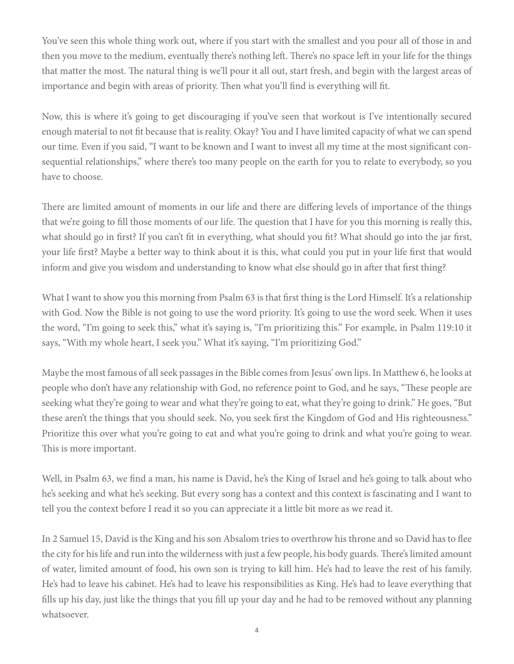You've seen this whole thing work out, where if you start with the smallest and you pour all of those in and then you move to the medium, eventually there's nothing left. There's no space left in your life for the things that matter the most. The natural thing is we'll pour it all out, start fresh, and begin with the largest areas of importance and begin with areas of priority. Then what you'll find is everything will fit.

Now, this is where it's going to get discouraging if you've seen that workout is I've intentionally secured enough material to not fit because that is reality. Okay? You and I have limited capacity of what we can spend our time. Even if you said, "I want to be known and I want to invest all my time at the most significant consequential relationships," where there's too many people on the earth for you to relate to everybody, so you have to choose.

There are limited amount of moments in our life and there are differing levels of importance of the things that we're going to fill those moments of our life. The question that I have for you this morning is really this, what should go in first? If you can't fit in everything, what should you fit? What should go into the jar first, your life first? Maybe a better way to think about it is this, what could you put in your life first that would inform and give you wisdom and understanding to know what else should go in after that first thing?

What I want to show you this morning from Psalm 63 is that first thing is the Lord Himself. It's a relationship with God. Now the Bible is not going to use the word priority. It's going to use the word seek. When it uses the word, "I'm going to seek this," what it's saying is, "I'm prioritizing this." For example, in Psalm 119:10 it says, "With my whole heart, I seek you." What it's saying, "I'm prioritizing God."

Maybe the most famous of all seek passages in the Bible comes from Jesus' own lips. In Matthew 6, he looks at people who don't have any relationship with God, no reference point to God, and he says, "These people are seeking what they're going to wear and what they're going to eat, what they're going to drink." He goes, "But these aren't the things that you should seek. No, you seek first the Kingdom of God and His righteousness." Prioritize this over what you're going to eat and what you're going to drink and what you're going to wear. This is more important.

Well, in Psalm 63, we find a man, his name is David, he's the King of Israel and he's going to talk about who he's seeking and what he's seeking. But every song has a context and this context is fascinating and I want to tell you the context before I read it so you can appreciate it a little bit more as we read it.

In 2 Samuel 15, David is the King and his son Absalom tries to overthrow his throne and so David has to flee the city for his life and run into the wilderness with just a few people, his body guards. There's limited amount of water, limited amount of food, his own son is trying to kill him. He's had to leave the rest of his family. He's had to leave his cabinet. He's had to leave his responsibilities as King. He's had to leave everything that fills up his day, just like the things that you fill up your day and he had to be removed without any planning whatsoever.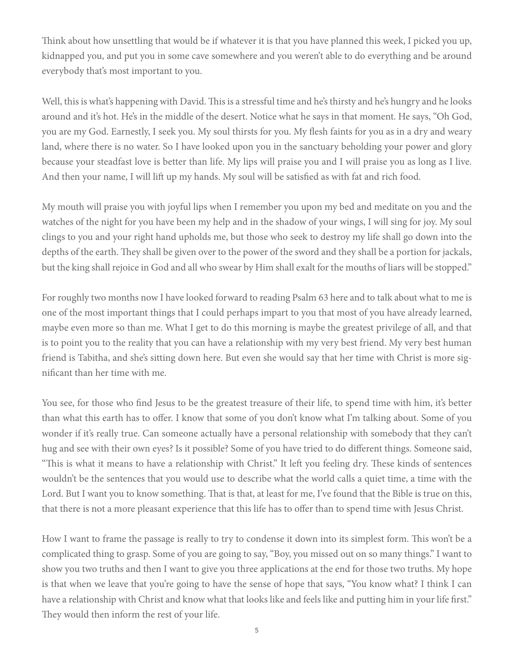Think about how unsettling that would be if whatever it is that you have planned this week, I picked you up, kidnapped you, and put you in some cave somewhere and you weren't able to do everything and be around everybody that's most important to you.

Well, this is what's happening with David. This is a stressful time and he's thirsty and he's hungry and he looks around and it's hot. He's in the middle of the desert. Notice what he says in that moment. He says, "Oh God, you are my God. Earnestly, I seek you. My soul thirsts for you. My flesh faints for you as in a dry and weary land, where there is no water. So I have looked upon you in the sanctuary beholding your power and glory because your steadfast love is better than life. My lips will praise you and I will praise you as long as I live. And then your name, I will lift up my hands. My soul will be satisfied as with fat and rich food.

My mouth will praise you with joyful lips when I remember you upon my bed and meditate on you and the watches of the night for you have been my help and in the shadow of your wings, I will sing for joy. My soul clings to you and your right hand upholds me, but those who seek to destroy my life shall go down into the depths of the earth. They shall be given over to the power of the sword and they shall be a portion for jackals, but the king shall rejoice in God and all who swear by Him shall exalt for the mouths of liars will be stopped."

For roughly two months now I have looked forward to reading Psalm 63 here and to talk about what to me is one of the most important things that I could perhaps impart to you that most of you have already learned, maybe even more so than me. What I get to do this morning is maybe the greatest privilege of all, and that is to point you to the reality that you can have a relationship with my very best friend. My very best human friend is Tabitha, and she's sitting down here. But even she would say that her time with Christ is more significant than her time with me.

You see, for those who find Jesus to be the greatest treasure of their life, to spend time with him, it's better than what this earth has to offer. I know that some of you don't know what I'm talking about. Some of you wonder if it's really true. Can someone actually have a personal relationship with somebody that they can't hug and see with their own eyes? Is it possible? Some of you have tried to do different things. Someone said, "This is what it means to have a relationship with Christ." It left you feeling dry. These kinds of sentences wouldn't be the sentences that you would use to describe what the world calls a quiet time, a time with the Lord. But I want you to know something. That is that, at least for me, I've found that the Bible is true on this, that there is not a more pleasant experience that this life has to offer than to spend time with Jesus Christ.

How I want to frame the passage is really to try to condense it down into its simplest form. This won't be a complicated thing to grasp. Some of you are going to say, "Boy, you missed out on so many things." I want to show you two truths and then I want to give you three applications at the end for those two truths. My hope is that when we leave that you're going to have the sense of hope that says, "You know what? I think I can have a relationship with Christ and know what that looks like and feels like and putting him in your life first." They would then inform the rest of your life.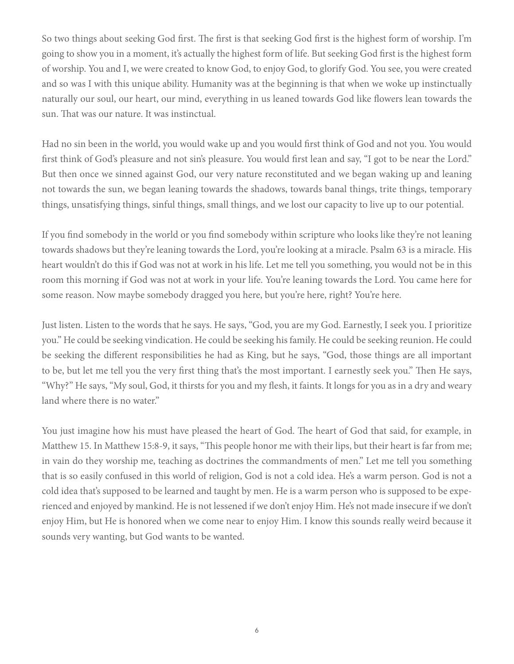So two things about seeking God first. The first is that seeking God first is the highest form of worship. I'm going to show you in a moment, it's actually the highest form of life. But seeking God first is the highest form of worship. You and I, we were created to know God, to enjoy God, to glorify God. You see, you were created and so was I with this unique ability. Humanity was at the beginning is that when we woke up instinctually naturally our soul, our heart, our mind, everything in us leaned towards God like flowers lean towards the sun. That was our nature. It was instinctual.

Had no sin been in the world, you would wake up and you would first think of God and not you. You would first think of God's pleasure and not sin's pleasure. You would first lean and say, "I got to be near the Lord." But then once we sinned against God, our very nature reconstituted and we began waking up and leaning not towards the sun, we began leaning towards the shadows, towards banal things, trite things, temporary things, unsatisfying things, sinful things, small things, and we lost our capacity to live up to our potential.

If you find somebody in the world or you find somebody within scripture who looks like they're not leaning towards shadows but they're leaning towards the Lord, you're looking at a miracle. Psalm 63 is a miracle. His heart wouldn't do this if God was not at work in his life. Let me tell you something, you would not be in this room this morning if God was not at work in your life. You're leaning towards the Lord. You came here for some reason. Now maybe somebody dragged you here, but you're here, right? You're here.

Just listen. Listen to the words that he says. He says, "God, you are my God. Earnestly, I seek you. I prioritize you." He could be seeking vindication. He could be seeking his family. He could be seeking reunion. He could be seeking the different responsibilities he had as King, but he says, "God, those things are all important to be, but let me tell you the very first thing that's the most important. I earnestly seek you." Then He says, "Why?" He says, "My soul, God, it thirsts for you and my flesh, it faints. It longs for you as in a dry and weary land where there is no water."

You just imagine how his must have pleased the heart of God. The heart of God that said, for example, in Matthew 15. In Matthew 15:8-9, it says, "This people honor me with their lips, but their heart is far from me; in vain do they worship me, teaching as doctrines the commandments of men." Let me tell you something that is so easily confused in this world of religion, God is not a cold idea. He's a warm person. God is not a cold idea that's supposed to be learned and taught by men. He is a warm person who is supposed to be experienced and enjoyed by mankind. He is not lessened if we don't enjoy Him. He's not made insecure if we don't enjoy Him, but He is honored when we come near to enjoy Him. I know this sounds really weird because it sounds very wanting, but God wants to be wanted.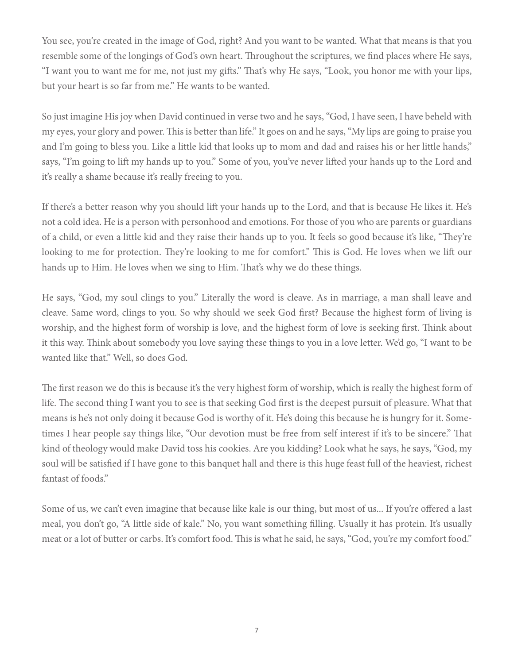You see, you're created in the image of God, right? And you want to be wanted. What that means is that you resemble some of the longings of God's own heart. Throughout the scriptures, we find places where He says, "I want you to want me for me, not just my gifts." That's why He says, "Look, you honor me with your lips, but your heart is so far from me." He wants to be wanted.

So just imagine His joy when David continued in verse two and he says, "God, I have seen, I have beheld with my eyes, your glory and power. This is better than life." It goes on and he says, "My lips are going to praise you and I'm going to bless you. Like a little kid that looks up to mom and dad and raises his or her little hands," says, "I'm going to lift my hands up to you." Some of you, you've never lifted your hands up to the Lord and it's really a shame because it's really freeing to you.

If there's a better reason why you should lift your hands up to the Lord, and that is because He likes it. He's not a cold idea. He is a person with personhood and emotions. For those of you who are parents or guardians of a child, or even a little kid and they raise their hands up to you. It feels so good because it's like, "They're looking to me for protection. They're looking to me for comfort." This is God. He loves when we lift our hands up to Him. He loves when we sing to Him. That's why we do these things.

He says, "God, my soul clings to you." Literally the word is cleave. As in marriage, a man shall leave and cleave. Same word, clings to you. So why should we seek God first? Because the highest form of living is worship, and the highest form of worship is love, and the highest form of love is seeking first. Think about it this way. Think about somebody you love saying these things to you in a love letter. We'd go, "I want to be wanted like that." Well, so does God.

The first reason we do this is because it's the very highest form of worship, which is really the highest form of life. The second thing I want you to see is that seeking God first is the deepest pursuit of pleasure. What that means is he's not only doing it because God is worthy of it. He's doing this because he is hungry for it. Sometimes I hear people say things like, "Our devotion must be free from self interest if it's to be sincere." That kind of theology would make David toss his cookies. Are you kidding? Look what he says, he says, "God, my soul will be satisfied if I have gone to this banquet hall and there is this huge feast full of the heaviest, richest fantast of foods."

Some of us, we can't even imagine that because like kale is our thing, but most of us... If you're offered a last meal, you don't go, "A little side of kale." No, you want something filling. Usually it has protein. It's usually meat or a lot of butter or carbs. It's comfort food. This is what he said, he says, "God, you're my comfort food."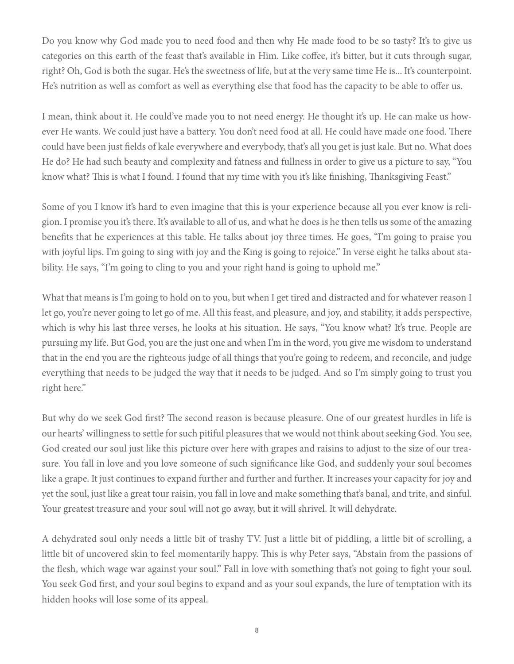Do you know why God made you to need food and then why He made food to be so tasty? It's to give us categories on this earth of the feast that's available in Him. Like coffee, it's bitter, but it cuts through sugar, right? Oh, God is both the sugar. He's the sweetness of life, but at the very same time He is... It's counterpoint. He's nutrition as well as comfort as well as everything else that food has the capacity to be able to offer us.

I mean, think about it. He could've made you to not need energy. He thought it's up. He can make us however He wants. We could just have a battery. You don't need food at all. He could have made one food. There could have been just fields of kale everywhere and everybody, that's all you get is just kale. But no. What does He do? He had such beauty and complexity and fatness and fullness in order to give us a picture to say, "You know what? This is what I found. I found that my time with you it's like finishing, Thanksgiving Feast."

Some of you I know it's hard to even imagine that this is your experience because all you ever know is religion. I promise you it's there. It's available to all of us, and what he does is he then tells us some of the amazing benefits that he experiences at this table. He talks about joy three times. He goes, "I'm going to praise you with joyful lips. I'm going to sing with joy and the King is going to rejoice." In verse eight he talks about stability. He says, "I'm going to cling to you and your right hand is going to uphold me."

What that means is I'm going to hold on to you, but when I get tired and distracted and for whatever reason I let go, you're never going to let go of me. All this feast, and pleasure, and joy, and stability, it adds perspective, which is why his last three verses, he looks at his situation. He says, "You know what? It's true. People are pursuing my life. But God, you are the just one and when I'm in the word, you give me wisdom to understand that in the end you are the righteous judge of all things that you're going to redeem, and reconcile, and judge everything that needs to be judged the way that it needs to be judged. And so I'm simply going to trust you right here."

But why do we seek God first? The second reason is because pleasure. One of our greatest hurdles in life is our hearts' willingness to settle for such pitiful pleasures that we would not think about seeking God. You see, God created our soul just like this picture over here with grapes and raisins to adjust to the size of our treasure. You fall in love and you love someone of such significance like God, and suddenly your soul becomes like a grape. It just continues to expand further and further and further. It increases your capacity for joy and yet the soul, just like a great tour raisin, you fall in love and make something that's banal, and trite, and sinful. Your greatest treasure and your soul will not go away, but it will shrivel. It will dehydrate.

A dehydrated soul only needs a little bit of trashy TV. Just a little bit of piddling, a little bit of scrolling, a little bit of uncovered skin to feel momentarily happy. This is why Peter says, "Abstain from the passions of the flesh, which wage war against your soul." Fall in love with something that's not going to fight your soul. You seek God first, and your soul begins to expand and as your soul expands, the lure of temptation with its hidden hooks will lose some of its appeal.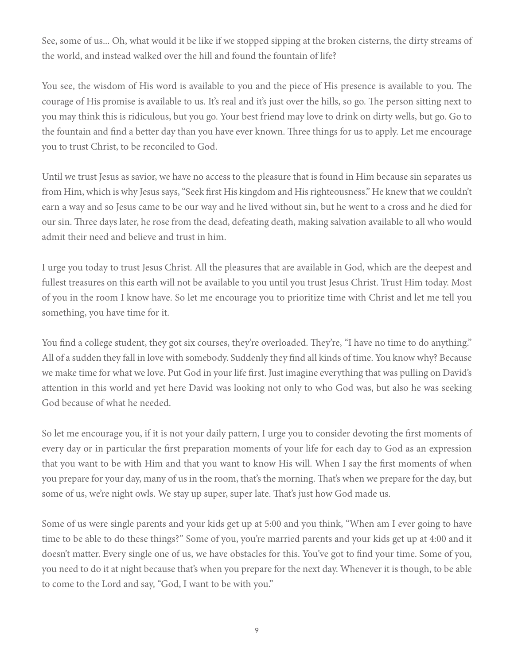See, some of us... Oh, what would it be like if we stopped sipping at the broken cisterns, the dirty streams of the world, and instead walked over the hill and found the fountain of life?

You see, the wisdom of His word is available to you and the piece of His presence is available to you. The courage of His promise is available to us. It's real and it's just over the hills, so go. The person sitting next to you may think this is ridiculous, but you go. Your best friend may love to drink on dirty wells, but go. Go to the fountain and find a better day than you have ever known. Three things for us to apply. Let me encourage you to trust Christ, to be reconciled to God.

Until we trust Jesus as savior, we have no access to the pleasure that is found in Him because sin separates us from Him, which is why Jesus says, "Seek first His kingdom and His righteousness." He knew that we couldn't earn a way and so Jesus came to be our way and he lived without sin, but he went to a cross and he died for our sin. Three days later, he rose from the dead, defeating death, making salvation available to all who would admit their need and believe and trust in him.

I urge you today to trust Jesus Christ. All the pleasures that are available in God, which are the deepest and fullest treasures on this earth will not be available to you until you trust Jesus Christ. Trust Him today. Most of you in the room I know have. So let me encourage you to prioritize time with Christ and let me tell you something, you have time for it.

You find a college student, they got six courses, they're overloaded. They're, "I have no time to do anything." All of a sudden they fall in love with somebody. Suddenly they find all kinds of time. You know why? Because we make time for what we love. Put God in your life first. Just imagine everything that was pulling on David's attention in this world and yet here David was looking not only to who God was, but also he was seeking God because of what he needed.

So let me encourage you, if it is not your daily pattern, I urge you to consider devoting the first moments of every day or in particular the first preparation moments of your life for each day to God as an expression that you want to be with Him and that you want to know His will. When I say the first moments of when you prepare for your day, many of us in the room, that's the morning. That's when we prepare for the day, but some of us, we're night owls. We stay up super, super late. That's just how God made us.

Some of us were single parents and your kids get up at 5:00 and you think, "When am I ever going to have time to be able to do these things?" Some of you, you're married parents and your kids get up at 4:00 and it doesn't matter. Every single one of us, we have obstacles for this. You've got to find your time. Some of you, you need to do it at night because that's when you prepare for the next day. Whenever it is though, to be able to come to the Lord and say, "God, I want to be with you."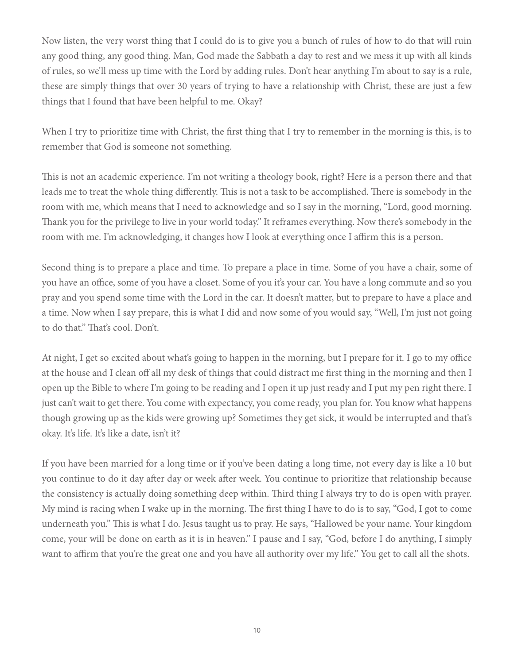Now listen, the very worst thing that I could do is to give you a bunch of rules of how to do that will ruin any good thing, any good thing. Man, God made the Sabbath a day to rest and we mess it up with all kinds of rules, so we'll mess up time with the Lord by adding rules. Don't hear anything I'm about to say is a rule, these are simply things that over 30 years of trying to have a relationship with Christ, these are just a few things that I found that have been helpful to me. Okay?

When I try to prioritize time with Christ, the first thing that I try to remember in the morning is this, is to remember that God is someone not something.

This is not an academic experience. I'm not writing a theology book, right? Here is a person there and that leads me to treat the whole thing differently. This is not a task to be accomplished. There is somebody in the room with me, which means that I need to acknowledge and so I say in the morning, "Lord, good morning. Thank you for the privilege to live in your world today." It reframes everything. Now there's somebody in the room with me. I'm acknowledging, it changes how I look at everything once I affirm this is a person.

Second thing is to prepare a place and time. To prepare a place in time. Some of you have a chair, some of you have an office, some of you have a closet. Some of you it's your car. You have a long commute and so you pray and you spend some time with the Lord in the car. It doesn't matter, but to prepare to have a place and a time. Now when I say prepare, this is what I did and now some of you would say, "Well, I'm just not going to do that." That's cool. Don't.

At night, I get so excited about what's going to happen in the morning, but I prepare for it. I go to my office at the house and I clean off all my desk of things that could distract me first thing in the morning and then I open up the Bible to where I'm going to be reading and I open it up just ready and I put my pen right there. I just can't wait to get there. You come with expectancy, you come ready, you plan for. You know what happens though growing up as the kids were growing up? Sometimes they get sick, it would be interrupted and that's okay. It's life. It's like a date, isn't it?

If you have been married for a long time or if you've been dating a long time, not every day is like a 10 but you continue to do it day after day or week after week. You continue to prioritize that relationship because the consistency is actually doing something deep within. Third thing I always try to do is open with prayer. My mind is racing when I wake up in the morning. The first thing I have to do is to say, "God, I got to come underneath you." This is what I do. Jesus taught us to pray. He says, "Hallowed be your name. Your kingdom come, your will be done on earth as it is in heaven." I pause and I say, "God, before I do anything, I simply want to affirm that you're the great one and you have all authority over my life." You get to call all the shots.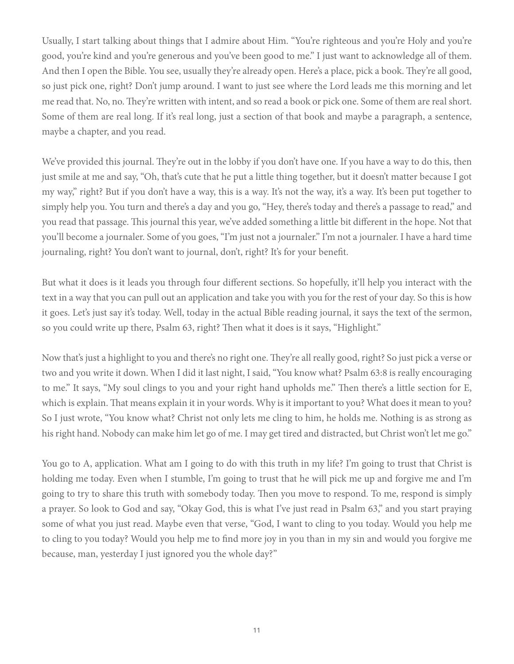Usually, I start talking about things that I admire about Him. "You're righteous and you're Holy and you're good, you're kind and you're generous and you've been good to me." I just want to acknowledge all of them. And then I open the Bible. You see, usually they're already open. Here's a place, pick a book. They're all good, so just pick one, right? Don't jump around. I want to just see where the Lord leads me this morning and let me read that. No, no. They're written with intent, and so read a book or pick one. Some of them are real short. Some of them are real long. If it's real long, just a section of that book and maybe a paragraph, a sentence, maybe a chapter, and you read.

We've provided this journal. They're out in the lobby if you don't have one. If you have a way to do this, then just smile at me and say, "Oh, that's cute that he put a little thing together, but it doesn't matter because I got my way," right? But if you don't have a way, this is a way. It's not the way, it's a way. It's been put together to simply help you. You turn and there's a day and you go, "Hey, there's today and there's a passage to read," and you read that passage. This journal this year, we've added something a little bit different in the hope. Not that you'll become a journaler. Some of you goes, "I'm just not a journaler." I'm not a journaler. I have a hard time journaling, right? You don't want to journal, don't, right? It's for your benefit.

But what it does is it leads you through four different sections. So hopefully, it'll help you interact with the text in a way that you can pull out an application and take you with you for the rest of your day. So this is how it goes. Let's just say it's today. Well, today in the actual Bible reading journal, it says the text of the sermon, so you could write up there, Psalm 63, right? Then what it does is it says, "Highlight."

Now that's just a highlight to you and there's no right one. They're all really good, right? So just pick a verse or two and you write it down. When I did it last night, I said, "You know what? Psalm 63:8 is really encouraging to me." It says, "My soul clings to you and your right hand upholds me." Then there's a little section for E, which is explain. That means explain it in your words. Why is it important to you? What does it mean to you? So I just wrote, "You know what? Christ not only lets me cling to him, he holds me. Nothing is as strong as his right hand. Nobody can make him let go of me. I may get tired and distracted, but Christ won't let me go."

You go to A, application. What am I going to do with this truth in my life? I'm going to trust that Christ is holding me today. Even when I stumble, I'm going to trust that he will pick me up and forgive me and I'm going to try to share this truth with somebody today. Then you move to respond. To me, respond is simply a prayer. So look to God and say, "Okay God, this is what I've just read in Psalm 63," and you start praying some of what you just read. Maybe even that verse, "God, I want to cling to you today. Would you help me to cling to you today? Would you help me to find more joy in you than in my sin and would you forgive me because, man, yesterday I just ignored you the whole day?"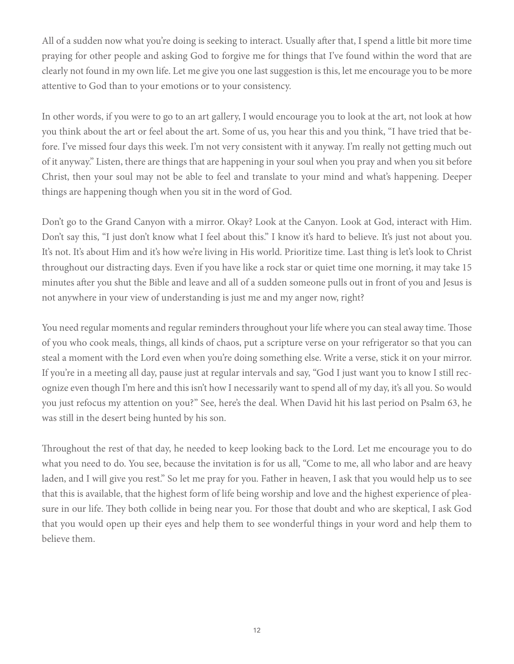All of a sudden now what you're doing is seeking to interact. Usually after that, I spend a little bit more time praying for other people and asking God to forgive me for things that I've found within the word that are clearly not found in my own life. Let me give you one last suggestion is this, let me encourage you to be more attentive to God than to your emotions or to your consistency.

In other words, if you were to go to an art gallery, I would encourage you to look at the art, not look at how you think about the art or feel about the art. Some of us, you hear this and you think, "I have tried that before. I've missed four days this week. I'm not very consistent with it anyway. I'm really not getting much out of it anyway." Listen, there are things that are happening in your soul when you pray and when you sit before Christ, then your soul may not be able to feel and translate to your mind and what's happening. Deeper things are happening though when you sit in the word of God.

Don't go to the Grand Canyon with a mirror. Okay? Look at the Canyon. Look at God, interact with Him. Don't say this, "I just don't know what I feel about this." I know it's hard to believe. It's just not about you. It's not. It's about Him and it's how we're living in His world. Prioritize time. Last thing is let's look to Christ throughout our distracting days. Even if you have like a rock star or quiet time one morning, it may take 15 minutes after you shut the Bible and leave and all of a sudden someone pulls out in front of you and Jesus is not anywhere in your view of understanding is just me and my anger now, right?

You need regular moments and regular reminders throughout your life where you can steal away time. Those of you who cook meals, things, all kinds of chaos, put a scripture verse on your refrigerator so that you can steal a moment with the Lord even when you're doing something else. Write a verse, stick it on your mirror. If you're in a meeting all day, pause just at regular intervals and say, "God I just want you to know I still recognize even though I'm here and this isn't how I necessarily want to spend all of my day, it's all you. So would you just refocus my attention on you?" See, here's the deal. When David hit his last period on Psalm 63, he was still in the desert being hunted by his son.

Throughout the rest of that day, he needed to keep looking back to the Lord. Let me encourage you to do what you need to do. You see, because the invitation is for us all, "Come to me, all who labor and are heavy laden, and I will give you rest." So let me pray for you. Father in heaven, I ask that you would help us to see that this is available, that the highest form of life being worship and love and the highest experience of pleasure in our life. They both collide in being near you. For those that doubt and who are skeptical, I ask God that you would open up their eyes and help them to see wonderful things in your word and help them to believe them.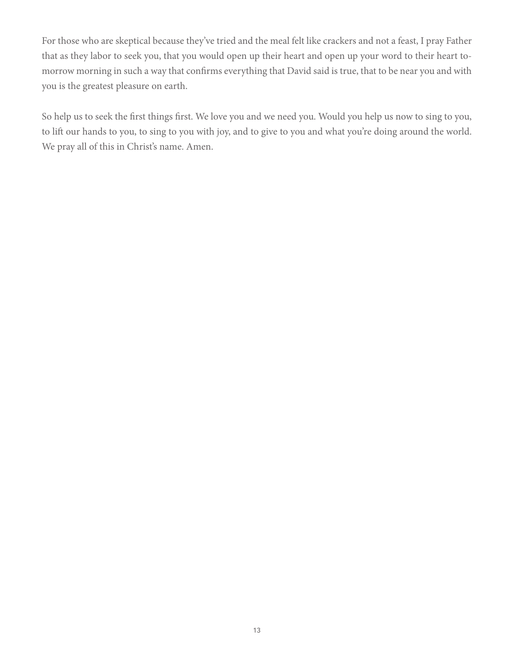For those who are skeptical because they've tried and the meal felt like crackers and not a feast, I pray Father that as they labor to seek you, that you would open up their heart and open up your word to their heart tomorrow morning in such a way that confirms everything that David said is true, that to be near you and with you is the greatest pleasure on earth.

So help us to seek the first things first. We love you and we need you. Would you help us now to sing to you, to lift our hands to you, to sing to you with joy, and to give to you and what you're doing around the world. We pray all of this in Christ's name. Amen.